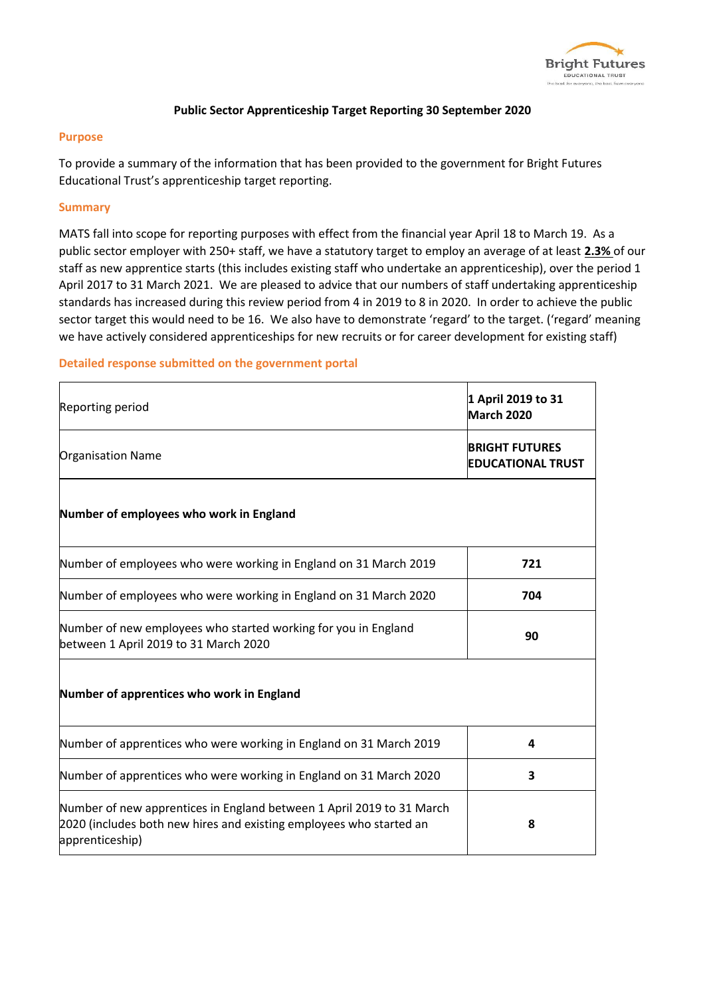

## **Public Sector Apprenticeship Target Reporting 30 September 2020**

## **Purpose**

To provide a summary of the information that has been provided to the government for Bright Futures Educational Trust's apprenticeship target reporting.

## **Summary**

MATS fall into scope for reporting purposes with effect from the financial year April 18 to March 19. As a public sector employer with 250+ staff, we have a statutory target to employ an average of at least **2.3%** of our staff as new apprentice starts (this includes existing staff who undertake an apprenticeship), over the period 1 April 2017 to 31 March 2021. We are pleased to advice that our numbers of staff undertaking apprenticeship standards has increased during this review period from 4 in 2019 to 8 in 2020. In order to achieve the public sector target this would need to be 16. We also have to demonstrate 'regard' to the target. ('regard' meaning we have actively considered apprenticeships for new recruits or for career development for existing staff)

## **Detailed response submitted on the government portal**

| <b>Reporting period</b>                                                                                                                                         | 1 April 2019 to 31<br>March 2020                  |  |
|-----------------------------------------------------------------------------------------------------------------------------------------------------------------|---------------------------------------------------|--|
| <b>Organisation Name</b>                                                                                                                                        | <b>BRIGHT FUTURES</b><br><b>EDUCATIONAL TRUST</b> |  |
| Number of employees who work in England                                                                                                                         |                                                   |  |
| Number of employees who were working in England on 31 March 2019                                                                                                | 721                                               |  |
| Number of employees who were working in England on 31 March 2020                                                                                                | 704                                               |  |
| Number of new employees who started working for you in England<br>between 1 April 2019 to 31 March 2020                                                         | 90                                                |  |
| Number of apprentices who work in England                                                                                                                       |                                                   |  |
| Number of apprentices who were working in England on 31 March 2019                                                                                              | 4                                                 |  |
| Number of apprentices who were working in England on 31 March 2020                                                                                              | 3                                                 |  |
| Number of new apprentices in England between 1 April 2019 to 31 March<br>2020 (includes both new hires and existing employees who started an<br>apprenticeship) | 8                                                 |  |